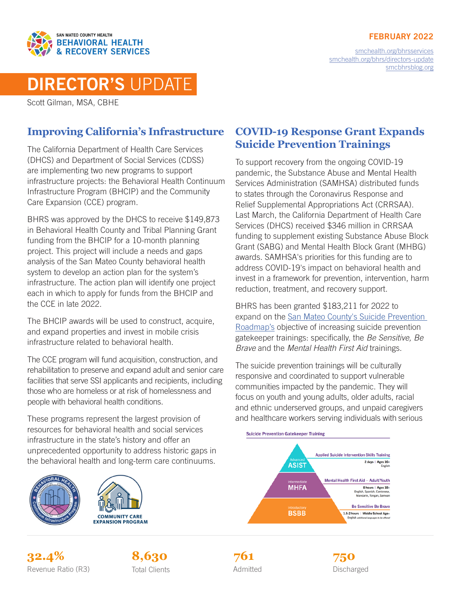#### FEBRUARY 2022



[smchealth.org/bhrsservices](https://www.smchealth.org/bhrsservices) [smchealth.org/bhrs/directors-update](https://www.smchealth.org/bhrs/directors-update) [smcbhrsblog.org](http://www.smcbhrsblog.org)

# DIRECTOR'S UPDATE

Scott Gilman, MSA, CBHE

## **Improving California's Infrastructure**

The California Department of Health Care Services (DHCS) and Department of Social Services (CDSS) are implementing two new programs to support infrastructure projects: the Behavioral Health Continuum Infrastructure Program (BHCIP) and the Community Care Expansion (CCE) program.

BHRS was approved by the DHCS to receive \$149,873 in Behavioral Health County and Tribal Planning Grant funding from the BHCIP for a 10-month planning project. This project will include a needs and gaps analysis of the San Mateo County behavioral health system to develop an action plan for the system's infrastructure. The action plan will identify one project each in which to apply for funds from the BHCIP and the CCE in late 2022.

The BHCIP awards will be used to construct, acquire, and expand properties and invest in mobile crisis infrastructure related to behavioral health.

The CCE program will fund acquisition, construction, and rehabilitation to preserve and expand adult and senior care facilities that serve SSI applicants and recipients, including those who are homeless or at risk of homelessness and people with behavioral health conditions.

These programs represent the largest provision of resources for behavioral health and social services infrastructure in the state's history and offer an unprecedented opportunity to address historic gaps in the behavioral health and long-term care continuums.





### **COVID-19 Response Grant Expands Suicide Prevention Trainings**

To support recovery from the ongoing COVID-19 pandemic, the Substance Abuse and Mental Health Services Administration (SAMHSA) distributed funds to states through the Coronavirus Response and Relief Supplemental Appropriations Act (CRRSAA). Last March, the California Department of Health Care Services (DHCS) received \$346 million in CRRSAA funding to supplement existing Substance Abuse Block Grant (SABG) and Mental Health Block Grant (MHBG) awards. SAMHSA's priorities for this funding are to address COVID-19's impact on behavioral health and invest in a framework for prevention, intervention, harm reduction, treatment, and recovery support.

BHRS has been granted \$183,211 for 2022 to expand on the [San Mateo County's Suicide Prevention](https://www.smchealth.org/sites/main/files/file-attachments/suicide_prevention_roadmap_2021-2026.pdf?1632941341)  [Roadmap's](https://www.smchealth.org/sites/main/files/file-attachments/suicide_prevention_roadmap_2021-2026.pdf?1632941341) objective of increasing suicide prevention gatekeeper trainings: specifically, the *Be Sensitive, Be Brave* and the *Mental Health First Aid* trainings.

The suicide prevention trainings will be culturally responsive and coordinated to support vulnerable communities impacted by the pandemic. They will focus on youth and young adults, older adults, racial and ethnic underserved groups, and unpaid caregivers and healthcare workers serving individuals with serious



**32.4% 8,630 750** Revenue Ratio (R3) Total Clients **Constructs** Admitted **Discharged** Discharged





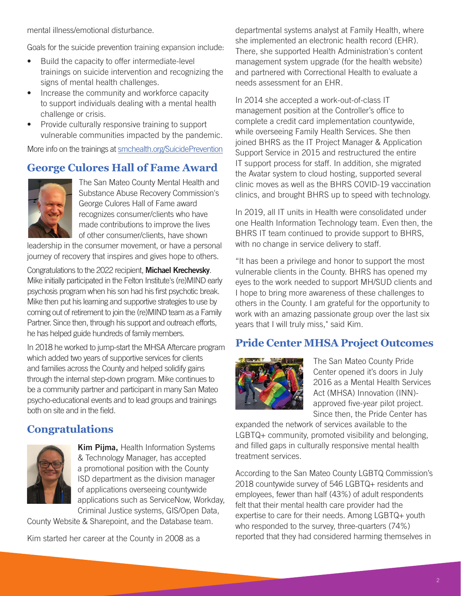mental illness/emotional disturbance.

Goals for the suicide prevention training expansion include:

- Build the capacity to offer intermediate-level trainings on suicide intervention and recognizing the signs of mental health challenges.
- Increase the community and workforce capacity to support individuals dealing with a mental health challenge or crisis.
- Provide culturally responsive training to support vulnerable communities impacted by the pandemic.

More info on the trainings at [smchealth.org/SuicidePrevention](https://www.smchealth.org/suicide-prevention)

## **George Culores Hall of Fame Award**



The San Mateo County Mental Health and Substance Abuse Recovery Commission's George Culores Hall of Fame award recognizes consumer/clients who have made contributions to improve the lives of other consumer/clients, have shown

leadership in the consumer movement, or have a personal journey of recovery that inspires and gives hope to others.

Congratulations to the 2022 recipient, Michael Krechevsky. Mike initially participated in the Felton Institute's (re)MIND early psychosis program when his son had his first psychotic break. Mike then put his learning and supportive strategies to use by coming out of retirement to join the (re)MIND team as a Family Partner. Since then, through his support and outreach efforts, he has helped guide hundreds of family members.

In 2018 he worked to jump-start the MHSA Aftercare program which added two years of supportive services for clients and families across the County and helped solidify gains through the internal step-down program. Mike continues to be a community partner and participant in many San Mateo psycho-educational events and to lead groups and trainings both on site and in the field.

## **Congratulations**



Kim Pijma, Health Information Systems & Technology Manager, has accepted a promotional position with the County ISD department as the division manager of applications overseeing countywide applications such as ServiceNow, Workday, Criminal Justice systems, GIS/Open Data,

County Website & Sharepoint, and the Database team.

Kim started her career at the County in 2008 as a

departmental systems analyst at Family Health, where she implemented an electronic health record (EHR). There, she supported Health Administration's content management system upgrade (for the health website) and partnered with Correctional Health to evaluate a needs assessment for an EHR.

In 2014 she accepted a work-out-of-class IT management position at the Controller's office to complete a credit card implementation countywide, while overseeing Family Health Services. She then joined BHRS as the IT Project Manager & Application Support Service in 2015 and restructured the entire IT support process for staff. In addition, she migrated the Avatar system to cloud hosting, supported several clinic moves as well as the BHRS COVID-19 vaccination clinics, and brought BHRS up to speed with technology.

In 2019, all IT units in Health were consolidated under one Health Information Technology team. Even then, the BHRS IT team continued to provide support to BHRS, with no change in service delivery to staff.

"It has been a privilege and honor to support the most vulnerable clients in the County. BHRS has opened my eyes to the work needed to support MH/SUD clients and I hope to bring more awareness of these challenges to others in the County. I am grateful for the opportunity to work with an amazing passionate group over the last six years that I will truly miss," said Kim.

## **Pride Center MHSA Project Outcomes**



The San Mateo County Pride Center opened it's doors in July 2016 as a Mental Health Services Act (MHSA) Innovation (INN) approved five-year pilot project. Since then, the Pride Center has

expanded the network of services available to the LGBTQ+ community, promoted visibility and belonging, and filled gaps in culturally responsive mental health treatment services.

According to the San Mateo County LGBTQ Commission's 2018 countywide survey of 546 LGBTQ+ residents and employees, fewer than half (43%) of adult respondents felt that their mental health care provider had the expertise to care for their needs. Among LGBTQ+ youth who responded to the survey, three-quarters (74%) reported that they had considered harming themselves in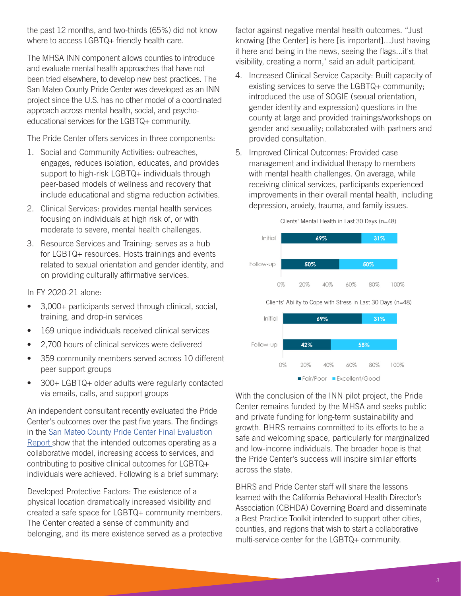the past 12 months, and two-thirds (65%) did not know where to access LGBTQ+ friendly health care.

The MHSA INN component allows counties to introduce and evaluate mental health approaches that have not been tried elsewhere, to develop new best practices. The San Mateo County Pride Center was developed as an INN project since the U.S. has no other model of a coordinated approach across mental health, social, and psychoeducational services for the LGBTQ+ community.

The Pride Center offers services in three components:

- 1. Social and Community Activities: outreaches, engages, reduces isolation, educates, and provides support to high-risk LGBTQ+ individuals through peer-based models of wellness and recovery that include educational and stigma reduction activities.
- 2. Clinical Services: provides mental health services focusing on individuals at high risk of, or with moderate to severe, mental health challenges.
- 3. Resource Services and Training: serves as a hub for LGBTQ+ resources. Hosts trainings and events related to sexual orientation and gender identity, and on providing culturally affirmative services.

In FY 2020-21 alone:

- 3,000+ participants served through clinical, social, training, and drop-in services
- 169 unique individuals received clinical services
- 2,700 hours of clinical services were delivered
- 359 community members served across 10 different peer support groups
- 300+ LGBTQ+ older adults were regularly contacted via emails, calls, and support groups

An independent consultant recently evaluated the Pride Center's outcomes over the past five years. The findings in the [San Mateo County Pride Center Final Evaluation](https://www.smchealth.org/sites/main/files/file-attachments/sm-pride-center_final-report_20211223_stc.pdf?1641923176)  [Report](https://www.smchealth.org/sites/main/files/file-attachments/sm-pride-center_final-report_20211223_stc.pdf?1641923176) show that the intended outcomes operating as a collaborative model, increasing access to services, and contributing to positive clinical outcomes for LGBTQ+ individuals were achieved. Following is a brief summary:

Developed Protective Factors: The existence of a physical location dramatically increased visibility and created a safe space for LGBTQ+ community members. The Center created a sense of community and belonging, and its mere existence served as a protective factor against negative mental health outcomes. "Just knowing [the Center] is here [is important]...Just having it here and being in the news, seeing the flags...it's that visibility, creating a norm," said an adult participant.

- 4. Increased Clinical Service Capacity: Built capacity of existing services to serve the LGBTQ+ community; introduced the use of SOGIE (sexual orientation, gender identity and expression) questions in the county at large and provided trainings/workshops on gender and sexuality; collaborated with partners and provided consultation.
- 5. Improved Clinical Outcomes: Provided case management and individual therapy to members with mental health challenges. On average, while receiving clinical services, participants experienced improvements in their overall mental health, including depression, anxiety, trauma, and family issues.



With the conclusion of the INN pilot project, the Pride Center remains funded by the MHSA and seeks public and private funding for long-term sustainability and growth. BHRS remains committed to its efforts to be a safe and welcoming space, particularly for marginalized and low-income individuals. The broader hope is that the Pride Center's success will inspire similar efforts across the state.

Fair/Poor Excellent/Good

BHRS and Pride Center staff will share the lessons learned with the California Behavioral Health Director's Association (CBHDA) Governing Board and disseminate a Best Practice Toolkit intended to support other cities, counties, and regions that wish to start a collaborative multi-service center for the LGBTQ+ community.